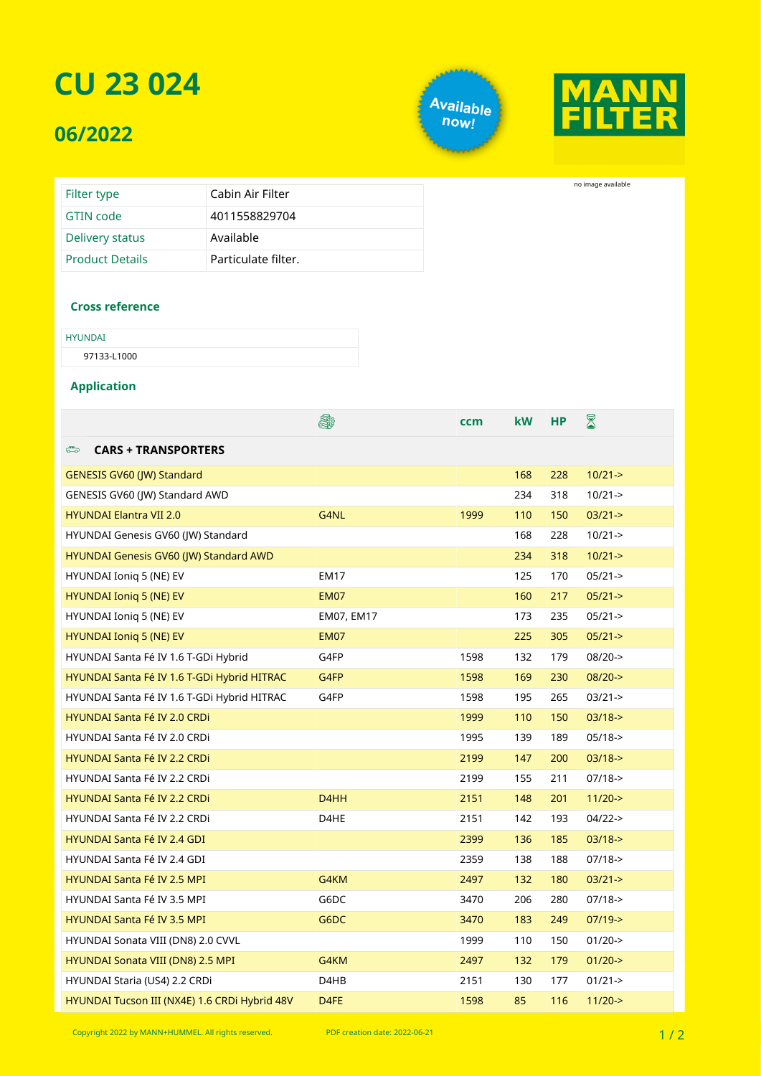## **CU 23 024**

### **06/2022**

Available<br>, <sup>now!</sup>



no image available

| Filter type            | Cabin Air Filter    |
|------------------------|---------------------|
| GTIN code              | 4011558829704       |
| Delivery status        | Available           |
| <b>Product Details</b> | Particulate filter. |

#### **Cross reference**

| <b>HYUNDAI</b> |  |  |
|----------------|--|--|
| 97133-L1000    |  |  |

#### **Application**

|                                               | ê.                | ccm  | <b>kW</b> | <b>HP</b> | ${\color{red} \mathbb{R}}$ |
|-----------------------------------------------|-------------------|------|-----------|-----------|----------------------------|
| <b>CARS + TRANSPORTERS</b><br>ౕి              |                   |      |           |           |                            |
| <b>GENESIS GV60 (JW) Standard</b>             |                   |      | 168       | 228       | $10/21 - >$                |
| GENESIS GV60 (JW) Standard AWD                |                   |      | 234       | 318       | $10/21 - >$                |
| <b>HYUNDAI Elantra VII 2.0</b>                | G4NL              | 1999 | 110       | 150       | $03/21 - >$                |
| HYUNDAI Genesis GV60 (JW) Standard            |                   |      | 168       | 228       | $10/21 - >$                |
| HYUNDAI Genesis GV60 (JW) Standard AWD        |                   |      | 234       | 318       | $10/21 - >$                |
| HYUNDAI Ionig 5 (NE) EV                       | <b>EM17</b>       |      | 125       | 170       | $05/21 - >$                |
| <b>HYUNDAI Ionig 5 (NE) EV</b>                | <b>EM07</b>       |      | 160       | 217       | $05/21 - >$                |
| HYUNDAI Ioniq 5 (NE) EV                       | EM07, EM17        |      | 173       | 235       | $05/21 - >$                |
| <b>HYUNDAI Ionig 5 (NE) EV</b>                | <b>EM07</b>       |      | 225       | 305       | $05/21 - >$                |
| HYUNDAI Santa Fé IV 1.6 T-GDi Hybrid          | G4FP              | 1598 | 132       | 179       | $08/20 - >$                |
| HYUNDAI Santa Fé IV 1.6 T-GDi Hybrid HITRAC   | G4FP              | 1598 | 169       | 230       | $08/20 - >$                |
| HYUNDAI Santa Fé IV 1.6 T-GDI Hybrid HITRAC   | G4FP              | 1598 | 195       | 265       | $03/21 - >$                |
| <b>HYUNDAI Santa Fé IV 2.0 CRDi</b>           |                   | 1999 | 110       | 150       | $03/18$ ->                 |
| <b>HYUNDAI Santa Fé IV 2.0 CRDi</b>           |                   | 1995 | 139       | 189       | $05/18$ ->                 |
| <b>HYUNDAI Santa Fé IV 2.2 CRDi</b>           |                   | 2199 | 147       | 200       | $03/18$ ->                 |
| <b>HYUNDAI Santa Fé IV 2.2 CRDi</b>           |                   | 2199 | 155       | 211       | $07/18 - >$                |
| <b>HYUNDAI Santa Fé IV 2.2 CRDi</b>           | D <sub>4</sub> HH | 2151 | 148       | 201       | $11/20$ ->                 |
| <b>HYUNDAI Santa Fé IV 2.2 CRDi</b>           | D4HE              | 2151 | 142       | 193       | $04/22$ ->                 |
| <b>HYUNDAI Santa Fé IV 2.4 GDI</b>            |                   | 2399 | 136       | 185       | $03/18$ ->                 |
| <b>HYUNDAI Santa Fé IV 2.4 GDI</b>            |                   | 2359 | 138       | 188       | $07/18 - >$                |
| <b>HYUNDAI Santa Fé IV 2.5 MPI</b>            | G4KM              | 2497 | 132       | 180       | $03/21 - >$                |
| HYUNDAI Santa Fé IV 3.5 MPI                   | G6DC              | 3470 | 206       | 280       | $07/18 - >$                |
| <b>HYUNDAI Santa Fé IV 3.5 MPI</b>            | G6DC              | 3470 | 183       | 249       | $07/19$ ->                 |
| HYUNDAI Sonata VIII (DN8) 2.0 CVVL            |                   | 1999 | 110       | 150       | $01/20$ ->                 |
| HYUNDAI Sonata VIII (DN8) 2.5 MPI             | G4KM              | 2497 | 132       | 179       | $01/20$ ->                 |
| HYUNDAI Staria (US4) 2.2 CRDi                 | D4HB              | 2151 | 130       | 177       | $01/21 - >$                |
| HYUNDAI Tucson III (NX4E) 1.6 CRDi Hybrid 48V | D4FE              | 1598 | 85        | 116       | $11/20$ ->                 |